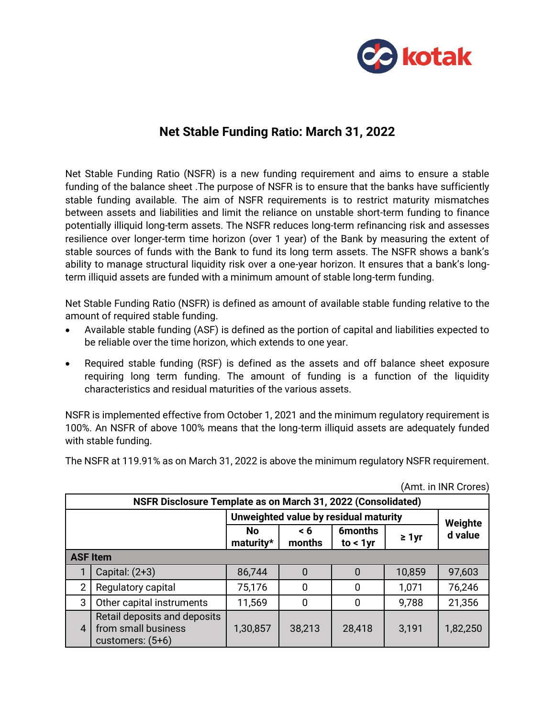

## **Net Stable Funding Ratio: March 31, 2022**

Net Stable Funding Ratio (NSFR) is a new funding requirement and aims to ensure a stable funding of the balance sheet .The purpose of NSFR is to ensure that the banks have sufficiently stable funding available. The aim of NSFR requirements is to restrict maturity mismatches between assets and liabilities and limit the reliance on unstable short-term funding to finance potentially illiquid long-term assets. The NSFR reduces long-term refinancing risk and assesses resilience over longer-term time horizon (over 1 year) of the Bank by measuring the extent of stable sources of funds with the Bank to fund its long term assets. The NSFR shows a bank's ability to manage structural liquidity risk over a one-year horizon. It ensures that a bank's longterm illiquid assets are funded with a minimum amount of stable long-term funding.

Net Stable Funding Ratio (NSFR) is defined as amount of available stable funding relative to the amount of required stable funding.

- Available stable funding (ASF) is defined as the portion of capital and liabilities expected to be reliable over the time horizon, which extends to one year.
- Required stable funding (RSF) is defined as the assets and off balance sheet exposure requiring long term funding. The amount of funding is a function of the liquidity characteristics and residual maturities of the various assets.

NSFR is implemented effective from October 1, 2021 and the minimum regulatory requirement is 100%. An NSFR of above 100% means that the long-term illiquid assets are adequately funded with stable funding.

The NSFR at 119.91% as on March 31, 2022 is above the minimum regulatory NSFR requirement.

|                                                              | (AIIII. III INK GIOIES)                                                   |                                       |                    |                               |             |          |  |  |
|--------------------------------------------------------------|---------------------------------------------------------------------------|---------------------------------------|--------------------|-------------------------------|-------------|----------|--|--|
| NSFR Disclosure Template as on March 31, 2022 (Consolidated) |                                                                           |                                       |                    |                               |             |          |  |  |
|                                                              |                                                                           | Unweighted value by residual maturity | Weighte            |                               |             |          |  |  |
|                                                              |                                                                           | <b>No</b><br>maturity*                | $\leq 6$<br>months | <b>6months</b><br>to $< 1$ yr | $\geq 1$ yr | d value  |  |  |
|                                                              | <b>ASF Item</b>                                                           |                                       |                    |                               |             |          |  |  |
|                                                              | Capital: $(2+3)$                                                          | 86,744                                | 0                  | 0                             | 10,859      | 97,603   |  |  |
| $\overline{2}$                                               | Regulatory capital                                                        | 75,176                                | $\overline{0}$     | 0                             | 1,071       | 76,246   |  |  |
| 3                                                            | Other capital instruments                                                 | 11,569                                | 0                  | 0                             | 9,788       | 21,356   |  |  |
| $\overline{4}$                                               | Retail deposits and deposits<br>from small business<br>customers: $(5+6)$ | 1,30,857                              | 38,213             | 28,418                        | 3,191       | 1,82,250 |  |  |

 $(M<sub>mt</sub>$  in IND Crores)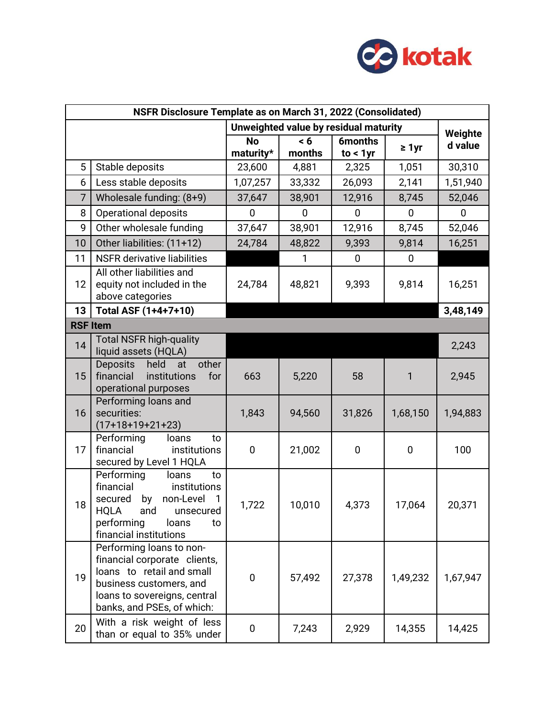

| NSFR Disclosure Template as on March 31, 2022 (Consolidated) |                                                                                                                                                                                             |                                       |               |                               |             |          |  |
|--------------------------------------------------------------|---------------------------------------------------------------------------------------------------------------------------------------------------------------------------------------------|---------------------------------------|---------------|-------------------------------|-------------|----------|--|
|                                                              |                                                                                                                                                                                             | Unweighted value by residual maturity | Weighte       |                               |             |          |  |
|                                                              |                                                                                                                                                                                             | <b>No</b><br>maturity*                | < 6<br>months | <b>6months</b><br>$to < 1$ yr | $\geq 1$ yr | d value  |  |
| 5                                                            | Stable deposits                                                                                                                                                                             | 23,600                                | 4,881         | 2,325                         | 1,051       | 30,310   |  |
| 6                                                            | Less stable deposits                                                                                                                                                                        | 1,07,257                              | 33,332        | 26,093                        | 2,141       | 1,51,940 |  |
| $\overline{7}$                                               | Wholesale funding: (8+9)                                                                                                                                                                    | 37,647                                | 38,901        | 12,916                        | 8,745       | 52,046   |  |
| 8                                                            | <b>Operational deposits</b>                                                                                                                                                                 | $\mathbf 0$                           | 0             | $\mathbf 0$                   | $\mathbf 0$ | 0        |  |
| 9                                                            | Other wholesale funding                                                                                                                                                                     | 37,647                                | 38,901        | 12,916                        | 8,745       | 52,046   |  |
| 10                                                           | Other liabilities: (11+12)                                                                                                                                                                  | 24,784                                | 48,822        | 9,393                         | 9,814       | 16,251   |  |
| 11                                                           | <b>NSFR</b> derivative liabilities                                                                                                                                                          |                                       | 1             | $\overline{0}$                | $\mathbf 0$ |          |  |
| 12                                                           | All other liabilities and<br>equity not included in the<br>above categories                                                                                                                 | 24,784                                | 48,821        | 9,393                         | 9,814       | 16,251   |  |
| 13                                                           | Total ASF (1+4+7+10)                                                                                                                                                                        |                                       |               |                               |             | 3,48,149 |  |
| <b>RSF Item</b>                                              |                                                                                                                                                                                             |                                       |               |                               |             |          |  |
| 14                                                           | <b>Total NSFR high-quality</b><br>liquid assets (HQLA)                                                                                                                                      |                                       |               |                               |             | 2,243    |  |
| 15                                                           | held<br>other<br>Deposits<br>at<br>institutions<br>financial<br>for<br>operational purposes                                                                                                 | 663                                   | 5,220         | 58                            | 1           | 2,945    |  |
| 16                                                           | Performing loans and<br>securities:<br>$(17+18+19+21+23)$                                                                                                                                   | 1,843                                 | 94,560        | 31,826                        | 1,68,150    | 1,94,883 |  |
| 17                                                           | Performing<br>loans<br>to<br>financial<br>institutions<br>secured by Level 1 HQLA                                                                                                           | $\mathbf 0$                           | 21,002        | $\mathbf 0$                   | 0           | 100      |  |
| 18                                                           | Performing<br>loans<br>to<br>financial<br>institutions<br>non-Level<br>secured<br>by<br>$\mathbf{1}$<br><b>HQLA</b><br>and unsecured<br>performing<br>loans<br>to<br>financial institutions | 1,722                                 | 10,010        | 4,373                         | 17,064      | 20,371   |  |
| 19                                                           | Performing loans to non-<br>financial corporate clients,<br>loans to retail and small<br>business customers, and<br>loans to sovereigns, central<br>banks, and PSEs, of which:              | 0                                     | 57,492        | 27,378                        | 1,49,232    | 1,67,947 |  |
| 20                                                           | With a risk weight of less<br>than or equal to 35% under                                                                                                                                    | 0                                     | 7,243         | 2,929                         | 14,355      | 14,425   |  |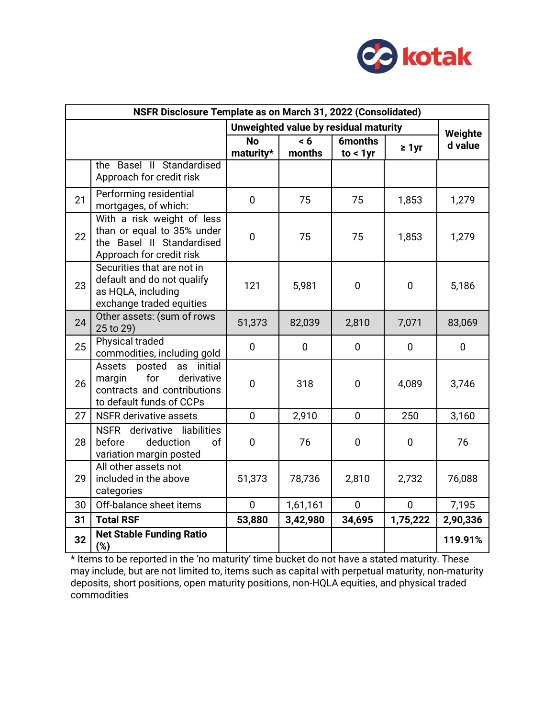

| NSFR Disclosure Template as on March 31, 2022 (Consolidated) |                                                                                                                             |                                       |               |                               |              |             |
|--------------------------------------------------------------|-----------------------------------------------------------------------------------------------------------------------------|---------------------------------------|---------------|-------------------------------|--------------|-------------|
|                                                              |                                                                                                                             | Unweighted value by residual maturity |               |                               |              | Weighte     |
|                                                              |                                                                                                                             | <b>No</b><br>maturity*                | < 6<br>months | <b>6months</b><br>$to < 1$ yr | $\geq 1$ yr  | d value     |
|                                                              | the Basel II Standardised<br>Approach for credit risk                                                                       |                                       |               |                               |              |             |
| 21                                                           | Performing residential<br>mortgages, of which:                                                                              | $\overline{0}$                        | 75            | 75                            | 1,853        | 1,279       |
| 22                                                           | With a risk weight of less<br>than or equal to 35% under<br>the Basel II Standardised<br>Approach for credit risk           | $\mathbf 0$                           | 75            | 75                            | 1,853        | 1,279       |
| 23                                                           | Securities that are not in<br>default and do not qualify<br>as HQLA, including<br>exchange traded equities                  | 121                                   | 5,981         | $\overline{0}$                | $\mathbf 0$  | 5,186       |
| 24                                                           | Other assets: (sum of rows<br>25 to 29)                                                                                     | 51,373                                | 82,039        | 2,810                         | 7,071        | 83,069      |
| 25                                                           | <b>Physical traded</b><br>commodities, including gold                                                                       | $\overline{0}$                        | 0             | $\mathbf 0$                   | $\mathbf 0$  | $\mathbf 0$ |
| 26                                                           | initial<br>Assets<br>posted<br>as<br>for<br>derivative<br>margin<br>contracts and contributions<br>to default funds of CCPs | $\mathbf 0$                           | 318           | $\overline{0}$                | 4,089        | 3,746       |
| 27                                                           | <b>NSFR</b> derivative assets                                                                                               | $\overline{0}$                        | 2,910         | $\mathbf 0$                   | 250          | 3,160       |
| 28                                                           | NSFR derivative liabilities<br>before<br>deduction<br>of<br>variation margin posted                                         | $\mathbf 0$                           | 76            | $\mathbf 0$                   | $\mathbf 0$  | 76          |
| 29                                                           | All other assets not<br>included in the above<br>categories                                                                 | 51,373                                | 78,736        | 2,810                         | 2,732        | 76,088      |
| 30                                                           | Off-balance sheet items                                                                                                     | $\overline{0}$                        | 1,61,161      | $\overline{0}$                | $\mathbf{0}$ | 7,195       |
| 31                                                           | <b>Total RSF</b>                                                                                                            | 53,880                                | 3,42,980      | 34,695                        | 1,75,222     | 2,90,336    |
| 32                                                           | <b>Net Stable Funding Ratio</b><br>(%)                                                                                      |                                       |               |                               |              | 119.91%     |

\* Items to be reported in the 'no maturity' time bucket do not have a stated maturity. These may include, but are not limited to, items such as capital with perpetual maturity, non-maturity deposits, short positions, open maturity positions, non-HQLA equities, and physical traded commodities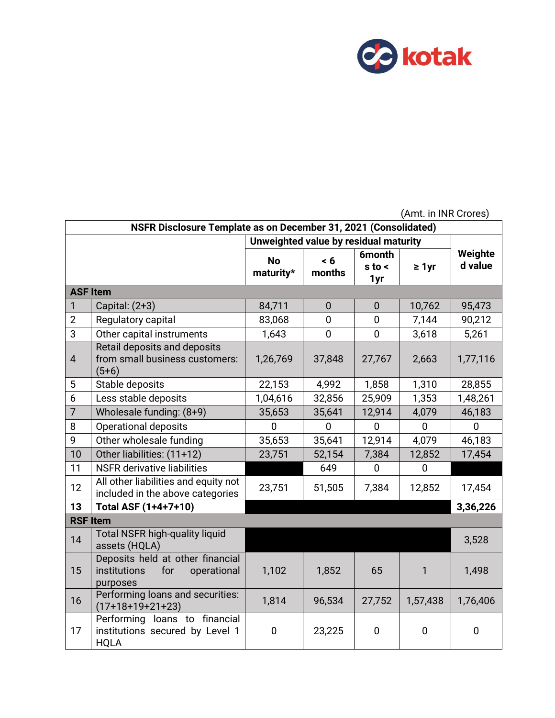

|                 | (Amt. in INR Crores)                                                               |             |                |                |             |          |  |  |
|-----------------|------------------------------------------------------------------------------------|-------------|----------------|----------------|-------------|----------|--|--|
|                 | NSFR Disclosure Template as on December 31, 2021 (Consolidated)                    |             |                |                |             |          |  |  |
|                 | Unweighted value by residual maturity                                              |             |                |                |             |          |  |  |
|                 |                                                                                    | <b>No</b>   | < 6            | <b>6month</b>  |             | Weighte  |  |  |
|                 |                                                                                    | maturity*   | months         | $s$ to $\leq$  | $\geq 1$ yr | d value  |  |  |
| <b>ASF Item</b> |                                                                                    |             |                | 1yr            |             |          |  |  |
| 1               | Capital: $(2+3)$                                                                   | 84,711      | $\theta$       | 0              | 10,762      | 95,473   |  |  |
| $\overline{2}$  | Regulatory capital                                                                 | 83,068      | $\overline{0}$ | $\overline{0}$ | 7,144       | 90,212   |  |  |
| 3               | Other capital instruments                                                          | 1,643       | $\mathbf 0$    | $\mathbf 0$    | 3,618       | 5,261    |  |  |
|                 | Retail deposits and deposits                                                       |             |                |                |             |          |  |  |
| $\overline{4}$  | from small business customers:<br>$(5+6)$                                          | 1,26,769    | 37,848         | 27,767         | 2,663       | 1,77,116 |  |  |
| 5               | Stable deposits                                                                    | 22,153      | 4,992          | 1,858          | 1,310       | 28,855   |  |  |
| 6               | Less stable deposits                                                               | 1,04,616    | 32,856         | 25,909         | 1,353       | 1,48,261 |  |  |
| $\overline{7}$  | Wholesale funding: (8+9)                                                           | 35,653      | 35,641         | 12,914         | 4,079       | 46,183   |  |  |
| 8               | <b>Operational deposits</b>                                                        | $\Omega$    | $\overline{0}$ | $\overline{0}$ | $\mathbf 0$ | 0        |  |  |
| 9               | Other wholesale funding                                                            | 35,653      | 35,641         | 12,914         | 4,079       | 46,183   |  |  |
| 10              | Other liabilities: (11+12)                                                         | 23,751      | 52,154         | 7,384          | 12,852      | 17,454   |  |  |
| 11              | <b>NSFR</b> derivative liabilities                                                 |             | 649            | $\mathbf 0$    | $\mathbf 0$ |          |  |  |
| 12              | All other liabilities and equity not<br>included in the above categories           | 23,751      | 51,505         | 7,384          | 12,852      | 17,454   |  |  |
| 13              | Total ASF (1+4+7+10)                                                               |             |                |                |             | 3,36,226 |  |  |
| <b>RSF Item</b> |                                                                                    |             |                |                |             |          |  |  |
| 14              | <b>Total NSFR high-quality liquid</b><br>assets (HQLA)                             |             |                |                |             | 3,528    |  |  |
| 15              | Deposits held at other financial<br>institutions<br>for<br>operational<br>purposes | 1,102       | 1,852          | 65             | 1           | 1,498    |  |  |
| 16              | Performing loans and securities:<br>$(17+18+19+21+23)$                             | 1,814       | 96,534         | 27,752         | 1,57,438    | 1,76,406 |  |  |
| 17              | Performing loans to financial<br>institutions secured by Level 1<br><b>HQLA</b>    | $\mathbf 0$ | 23,225         | 0              | $\mathbf 0$ | 0        |  |  |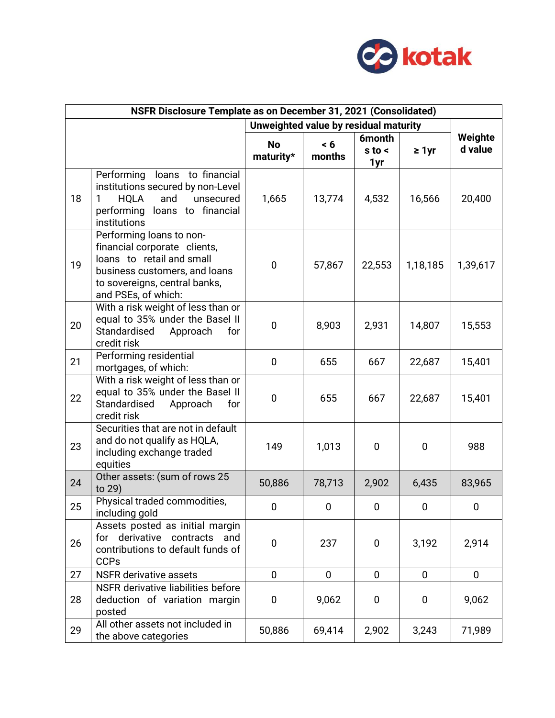

| NSFR Disclosure Template as on December 31, 2021 (Consolidated) |                                                                                                                                                                                |                                       |               |                                       |             |                    |
|-----------------------------------------------------------------|--------------------------------------------------------------------------------------------------------------------------------------------------------------------------------|---------------------------------------|---------------|---------------------------------------|-------------|--------------------|
|                                                                 |                                                                                                                                                                                | Unweighted value by residual maturity |               |                                       |             |                    |
|                                                                 |                                                                                                                                                                                | <b>No</b><br>maturity*                | < 6<br>months | <b>6month</b><br>$s$ to $\leq$<br>1yr | $\geq 1$ yr | Weighte<br>d value |
| 18                                                              | Performing<br>loans to financial<br>institutions secured by non-Level<br><b>HQLA</b><br>and<br>unsecured<br>1<br>performing loans to financial<br>institutions                 | 1,665                                 | 13,774        | 4,532                                 | 16,566      | 20,400             |
| 19                                                              | Performing loans to non-<br>financial corporate clients,<br>loans to retail and small<br>business customers, and loans<br>to sovereigns, central banks,<br>and PSEs, of which: | 0                                     | 57,867        | 22,553                                | 1,18,185    | 1,39,617           |
| 20                                                              | With a risk weight of less than or<br>equal to 35% under the Basel II<br>Standardised<br>Approach<br>for<br>credit risk                                                        | $\mathbf 0$                           | 8,903         | 2,931                                 | 14,807      | 15,553             |
| 21                                                              | Performing residential<br>mortgages, of which:                                                                                                                                 | $\mathbf 0$                           | 655           | 667                                   | 22,687      | 15,401             |
| 22                                                              | With a risk weight of less than or<br>equal to 35% under the Basel II<br>Standardised<br>Approach<br>for<br>credit risk                                                        | $\mathbf 0$                           | 655           | 667                                   | 22,687      | 15,401             |
| 23                                                              | Securities that are not in default<br>and do not qualify as HQLA,<br>including exchange traded<br>equities                                                                     | 149                                   | 1,013         | 0                                     | $\mathbf 0$ | 988                |
| 24                                                              | Other assets: (sum of rows 25<br>to 29)                                                                                                                                        | 50,886                                | 78,713        | 2,902                                 | 6,435       | 83,965             |
| 25                                                              | Physical traded commodities,<br>including gold                                                                                                                                 | 0                                     | 0             | 0                                     | $\bf{0}$    | 0                  |
| 26                                                              | Assets posted as initial margin<br>for derivative contracts and<br>contributions to default funds of<br><b>CCPs</b>                                                            | $\pmb{0}$                             | 237           | 0                                     | 3,192       | 2,914              |
| 27                                                              | <b>NSFR</b> derivative assets                                                                                                                                                  | $\mathbf 0$                           | 0             | 0                                     | 0           | 0                  |
| 28                                                              | NSFR derivative liabilities before<br>deduction of variation margin<br>posted                                                                                                  | 0                                     | 9,062         | 0                                     | $\bf{0}$    | 9,062              |
| 29                                                              | All other assets not included in<br>the above categories                                                                                                                       | 50,886                                | 69,414        | 2,902                                 | 3,243       | 71,989             |